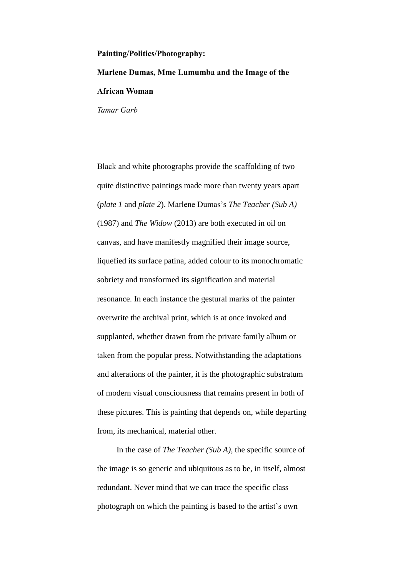## **Painting/Politics/Photography:**

**Marlene Dumas, Mme Lumumba and the Image of the African Woman**

*Tamar Garb* 

Black and white photographs provide the scaffolding of two quite distinctive paintings made more than twenty years apart (*plate 1* and *plate 2*). Marlene Dumas's *The Teacher (Sub A)* (1987) and *The Widow* (2013) are both executed in oil on canvas, and have manifestly magnified their image source, liquefied its surface patina, added colour to its monochromatic sobriety and transformed its signification and material resonance. In each instance the gestural marks of the painter overwrite the archival print, which is at once invoked and supplanted, whether drawn from the private family album or taken from the popular press. Notwithstanding the adaptations and alterations of the painter, it is the photographic substratum of modern visual consciousness that remains present in both of these pictures. This is painting that depends on, while departing from, its mechanical, material other.

In the case of *The Teacher (Sub A)*, the specific source of the image is so generic and ubiquitous as to be, in itself, almost redundant. Never mind that we can trace the specific class photograph on which the painting is based to the artist's own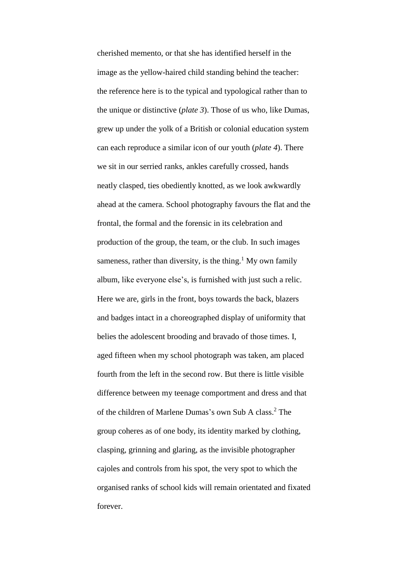cherished memento, or that she has identified herself in the image as the yellow-haired child standing behind the teacher: the reference here is to the typical and typological rather than to the unique or distinctive (*plate 3*). Those of us who, like Dumas, grew up under the yolk of a British or colonial education system can each reproduce a similar icon of our youth (*plate 4*). There we sit in our serried ranks, ankles carefully crossed, hands neatly clasped, ties obediently knotted, as we look awkwardly ahead at the camera. School photography favours the flat and the frontal, the formal and the forensic in its celebration and production of the group, the team, or the club. In such images sameness, rather than diversity, is the thing.<sup>1</sup> My own family album, like everyone else's, is furnished with just such a relic. Here we are, girls in the front, boys towards the back, blazers and badges intact in a choreographed display of uniformity that belies the adolescent brooding and bravado of those times. I, aged fifteen when my school photograph was taken, am placed fourth from the left in the second row. But there is little visible difference between my teenage comportment and dress and that of the children of Marlene Dumas's own Sub A class. <sup>2</sup> The group coheres as of one body, its identity marked by clothing, clasping, grinning and glaring, as the invisible photographer cajoles and controls from his spot, the very spot to which the organised ranks of school kids will remain orientated and fixated forever.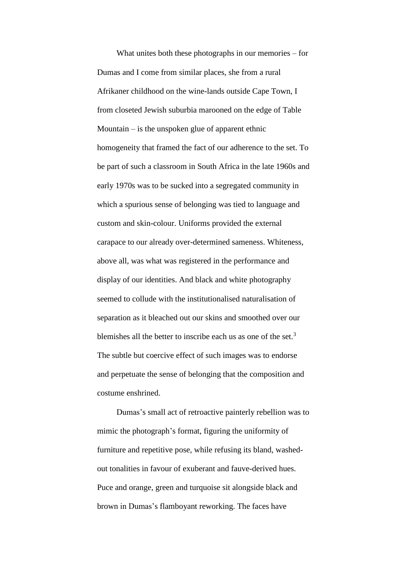What unites both these photographs in our memories – for Dumas and I come from similar places, she from a rural Afrikaner childhood on the wine-lands outside Cape Town, I from closeted Jewish suburbia marooned on the edge of Table Mountain  $-$  is the unspoken glue of apparent ethnic homogeneity that framed the fact of our adherence to the set. To be part of such a classroom in South Africa in the late 1960s and early 1970s was to be sucked into a segregated community in which a spurious sense of belonging was tied to language and custom and skin-colour. Uniforms provided the external carapace to our already over-determined sameness. Whiteness, above all, was what was registered in the performance and display of our identities. And black and white photography seemed to collude with the institutionalised naturalisation of separation as it bleached out our skins and smoothed over our blemishes all the better to inscribe each us as one of the set.<sup>3</sup> The subtle but coercive effect of such images was to endorse and perpetuate the sense of belonging that the composition and costume enshrined.

Dumas's small act of retroactive painterly rebellion was to mimic the photograph's format, figuring the uniformity of furniture and repetitive pose, while refusing its bland, washedout tonalities in favour of exuberant and fauve-derived hues. Puce and orange, green and turquoise sit alongside black and brown in Dumas's flamboyant reworking. The faces have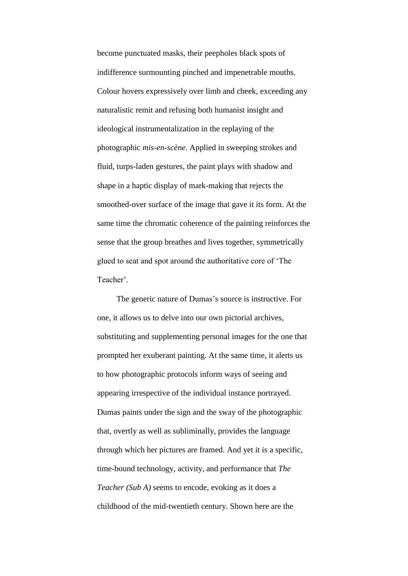become punctuated masks, their peepholes black spots of indifference surmounting pinched and impenetrable mouths. Colour hovers expressively over limb and cheek, exceeding any naturalistic remit and refusing both humanist insight and ideological instrumentalization in the replaying of the photographic *mis-en-scène*. Applied in sweeping strokes and fluid, turps-laden gestures, the paint plays with shadow and shape in a haptic display of mark-making that rejects the smoothed-over surface of the image that gave it its form. At the same time the chromatic coherence of the painting reinforces the sense that the group breathes and lives together, symmetrically glued to seat and spot around the authoritative core of 'The Teacher'.

The generic nature of Dumas's source is instructive. For one, it allows us to delve into our own pictorial archives, substituting and supplementing personal images for the one that prompted her exuberant painting. At the same time, it alerts us to how photographic protocols inform ways of seeing and appearing irrespective of the individual instance portrayed. Dumas paints under the sign and the sway of the photographic that, overtly as well as subliminally, provides the language through which her pictures are framed. And yet it is a specific, time-bound technology, activity, and performance that *The Teacher (Sub A)* seems to encode, evoking as it does a childhood of the mid-twentieth century. Shown here are the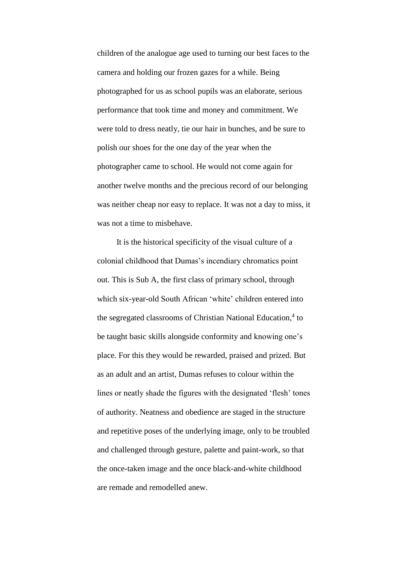children of the analogue age used to turning our best faces to the camera and holding our frozen gazes for a while. Being photographed for us as school pupils was an elaborate, serious performance that took time and money and commitment. We were told to dress neatly, tie our hair in bunches, and be sure to polish our shoes for the one day of the year when the photographer came to school. He would not come again for another twelve months and the precious record of our belonging was neither cheap nor easy to replace. It was not a day to miss, it was not a time to misbehave.

It is the historical specificity of the visual culture of a colonial childhood that Dumas's incendiary chromatics point out. This is Sub A, the first class of primary school, through which six-year-old South African 'white' children entered into the segregated classrooms of Christian National Education,<sup>4</sup> to be taught basic skills alongside conformity and knowing one's place. For this they would be rewarded, praised and prized. But as an adult and an artist, Dumas refuses to colour within the lines or neatly shade the figures with the designated 'flesh' tones of authority. Neatness and obedience are staged in the structure and repetitive poses of the underlying image, only to be troubled and challenged through gesture, palette and paint-work, so that the once-taken image and the once black-and-white childhood are remade and remodelled anew.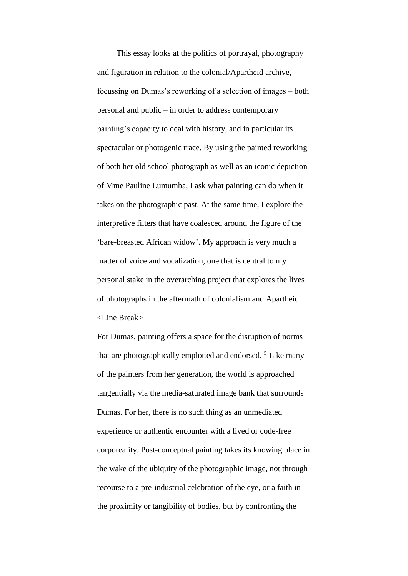This essay looks at the politics of portrayal, photography and figuration in relation to the colonial/Apartheid archive, focussing on Dumas's reworking of a selection of images – both personal and public – in order to address contemporary painting's capacity to deal with history, and in particular its spectacular or photogenic trace. By using the painted reworking of both her old school photograph as well as an iconic depiction of Mme Pauline Lumumba, I ask what painting can do when it takes on the photographic past. At the same time, I explore the interpretive filters that have coalesced around the figure of the 'bare-breasted African widow'. My approach is very much a matter of voice and vocalization, one that is central to my personal stake in the overarching project that explores the lives of photographs in the aftermath of colonialism and Apartheid. <Line Break>

For Dumas, painting offers a space for the disruption of norms that are photographically emplotted and endorsed.<sup>5</sup> Like many of the painters from her generation, the world is approached tangentially via the media-saturated image bank that surrounds Dumas. For her, there is no such thing as an unmediated experience or authentic encounter with a lived or code-free corporeality. Post-conceptual painting takes its knowing place in the wake of the ubiquity of the photographic image, not through recourse to a pre-industrial celebration of the eye, or a faith in the proximity or tangibility of bodies, but by confronting the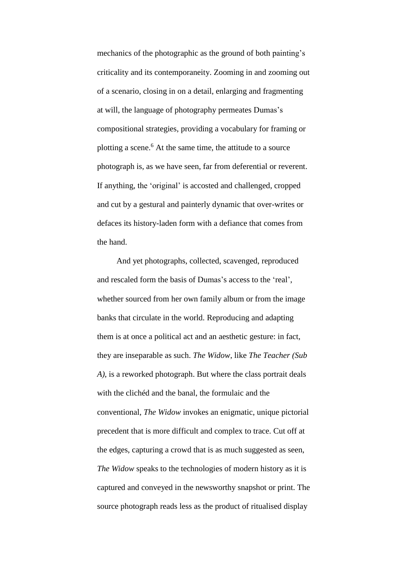mechanics of the photographic as the ground of both painting's criticality and its contemporaneity. Zooming in and zooming out of a scenario, closing in on a detail, enlarging and fragmenting at will, the language of photography permeates Dumas's compositional strategies, providing a vocabulary for framing or plotting a scene.<sup>6</sup> At the same time, the attitude to a source photograph is, as we have seen, far from deferential or reverent. If anything, the 'original' is accosted and challenged, cropped and cut by a gestural and painterly dynamic that over-writes or defaces its history-laden form with a defiance that comes from the hand.

And yet photographs, collected, scavenged, reproduced and rescaled form the basis of Dumas's access to the 'real', whether sourced from her own family album or from the image banks that circulate in the world. Reproducing and adapting them is at once a political act and an aesthetic gesture: in fact, they are inseparable as such. *The Widow*, like *The Teacher (Sub A)*, is a reworked photograph. But where the class portrait deals with the clichéd and the banal, the formulaic and the conventional, *The Widow* invokes an enigmatic, unique pictorial precedent that is more difficult and complex to trace. Cut off at the edges, capturing a crowd that is as much suggested as seen, *The Widow* speaks to the technologies of modern history as it is captured and conveyed in the newsworthy snapshot or print. The source photograph reads less as the product of ritualised display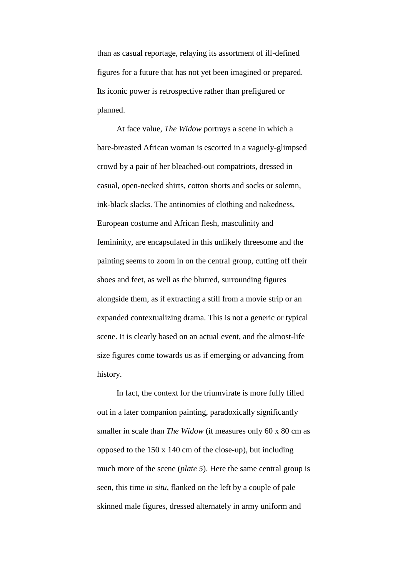than as casual reportage, relaying its assortment of ill-defined figures for a future that has not yet been imagined or prepared. Its iconic power is retrospective rather than prefigured or planned.

At face value, *The Widow* portrays a scene in which a bare-breasted African woman is escorted in a vaguely-glimpsed crowd by a pair of her bleached-out compatriots, dressed in casual, open-necked shirts, cotton shorts and socks or solemn, ink-black slacks. The antinomies of clothing and nakedness, European costume and African flesh, masculinity and femininity, are encapsulated in this unlikely threesome and the painting seems to zoom in on the central group, cutting off their shoes and feet, as well as the blurred, surrounding figures alongside them, as if extracting a still from a movie strip or an expanded contextualizing drama. This is not a generic or typical scene. It is clearly based on an actual event, and the almost-life size figures come towards us as if emerging or advancing from history.

In fact, the context for the triumvirate is more fully filled out in a later companion painting, paradoxically significantly smaller in scale than *The Widow* (it measures only 60 x 80 cm as opposed to the 150 x 140 cm of the close-up), but including much more of the scene (*plate 5*). Here the same central group is seen, this time *in situ*, flanked on the left by a couple of pale skinned male figures, dressed alternately in army uniform and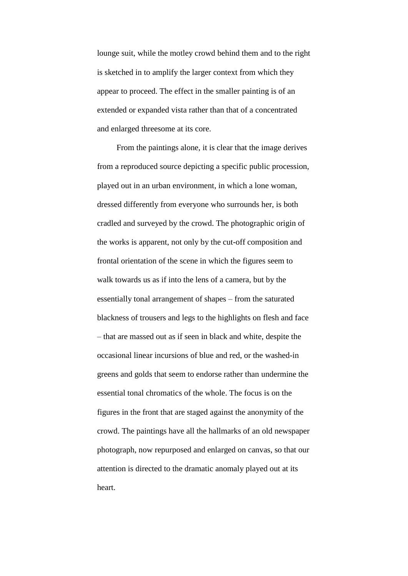lounge suit, while the motley crowd behind them and to the right is sketched in to amplify the larger context from which they appear to proceed. The effect in the smaller painting is of an extended or expanded vista rather than that of a concentrated and enlarged threesome at its core.

From the paintings alone, it is clear that the image derives from a reproduced source depicting a specific public procession, played out in an urban environment, in which a lone woman, dressed differently from everyone who surrounds her, is both cradled and surveyed by the crowd. The photographic origin of the works is apparent, not only by the cut-off composition and frontal orientation of the scene in which the figures seem to walk towards us as if into the lens of a camera, but by the essentially tonal arrangement of shapes – from the saturated blackness of trousers and legs to the highlights on flesh and face – that are massed out as if seen in black and white, despite the occasional linear incursions of blue and red, or the washed-in greens and golds that seem to endorse rather than undermine the essential tonal chromatics of the whole. The focus is on the figures in the front that are staged against the anonymity of the crowd. The paintings have all the hallmarks of an old newspaper photograph, now repurposed and enlarged on canvas, so that our attention is directed to the dramatic anomaly played out at its heart.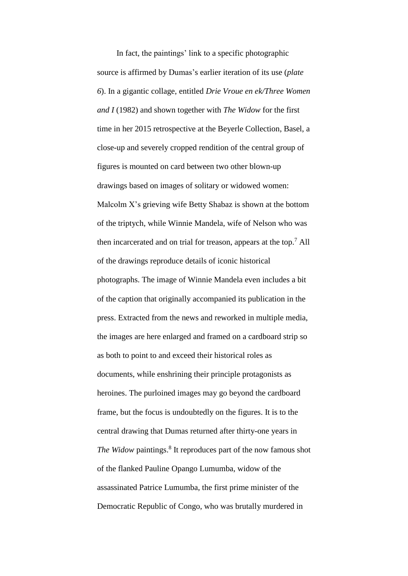In fact, the paintings' link to a specific photographic source is affirmed by Dumas's earlier iteration of its use (*plate 6*). In a gigantic collage, entitled *Drie Vroue en ek/Three Women and I* (1982) and shown together with *The Widow* for the first time in her 2015 retrospective at the Beyerle Collection, Basel, a close-up and severely cropped rendition of the central group of figures is mounted on card between two other blown-up drawings based on images of solitary or widowed women: Malcolm X's grieving wife Betty Shabaz is shown at the bottom of the triptych, while Winnie Mandela, wife of Nelson who was then incarcerated and on trial for treason, appears at the top. <sup>7</sup> All of the drawings reproduce details of iconic historical photographs. The image of Winnie Mandela even includes a bit of the caption that originally accompanied its publication in the press. Extracted from the news and reworked in multiple media, the images are here enlarged and framed on a cardboard strip so as both to point to and exceed their historical roles as documents, while enshrining their principle protagonists as heroines. The purloined images may go beyond the cardboard frame, but the focus is undoubtedly on the figures. It is to the central drawing that Dumas returned after thirty-one years in The Widow paintings.<sup>8</sup> It reproduces part of the now famous shot of the flanked Pauline Opango Lumumba, widow of the assassinated Patrice Lumumba, the first prime minister of the Democratic Republic of Congo, who was brutally murdered in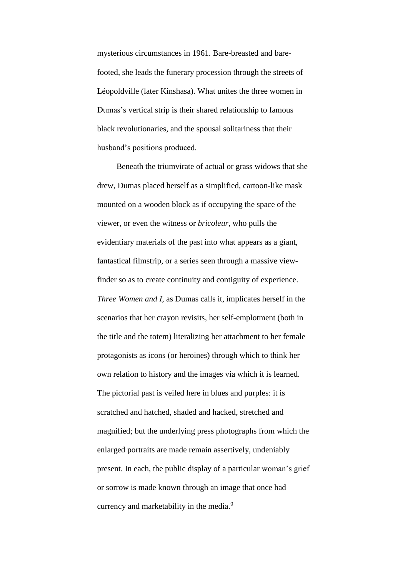mysterious circumstances in 1961. Bare-breasted and barefooted, she leads the funerary procession through the streets of Léopoldville (later Kinshasa). What unites the three women in Dumas's vertical strip is their shared relationship to famous black revolutionaries, and the spousal solitariness that their husband's positions produced.

Beneath the triumvirate of actual or grass widows that she drew, Dumas placed herself as a simplified, cartoon-like mask mounted on a wooden block as if occupying the space of the viewer, or even the witness or *bricoleur*, who pulls the evidentiary materials of the past into what appears as a giant, fantastical filmstrip, or a series seen through a massive viewfinder so as to create continuity and contiguity of experience. *Three Women and I*, as Dumas calls it, implicates herself in the scenarios that her crayon revisits, her self-emplotment (both in the title and the totem) literalizing her attachment to her female protagonists as icons (or heroines) through which to think her own relation to history and the images via which it is learned. The pictorial past is veiled here in blues and purples: it is scratched and hatched, shaded and hacked, stretched and magnified; but the underlying press photographs from which the enlarged portraits are made remain assertively, undeniably present. In each, the public display of a particular woman's grief or sorrow is made known through an image that once had currency and marketability in the media.<sup>9</sup>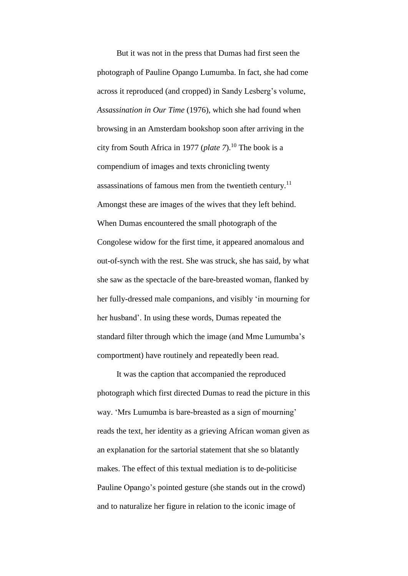But it was not in the press that Dumas had first seen the photograph of Pauline Opango Lumumba. In fact, she had come across it reproduced (and cropped) in Sandy Lesberg's volume, *Assassination in Our Time* (1976), which she had found when browsing in an Amsterdam bookshop soon after arriving in the city from South Africa in 1977 (*plate 7*). <sup>10</sup> The book is a compendium of images and texts chronicling twenty assassinations of famous men from the twentieth century.<sup>11</sup> Amongst these are images of the wives that they left behind. When Dumas encountered the small photograph of the Congolese widow for the first time, it appeared anomalous and out-of-synch with the rest. She was struck, she has said, by what she saw as the spectacle of the bare-breasted woman, flanked by her fully-dressed male companions, and visibly 'in mourning for her husband'. In using these words, Dumas repeated the standard filter through which the image (and Mme Lumumba's comportment) have routinely and repeatedly been read.

It was the caption that accompanied the reproduced photograph which first directed Dumas to read the picture in this way. 'Mrs Lumumba is bare-breasted as a sign of mourning' reads the text, her identity as a grieving African woman given as an explanation for the sartorial statement that she so blatantly makes. The effect of this textual mediation is to de-politicise Pauline Opango's pointed gesture (she stands out in the crowd) and to naturalize her figure in relation to the iconic image of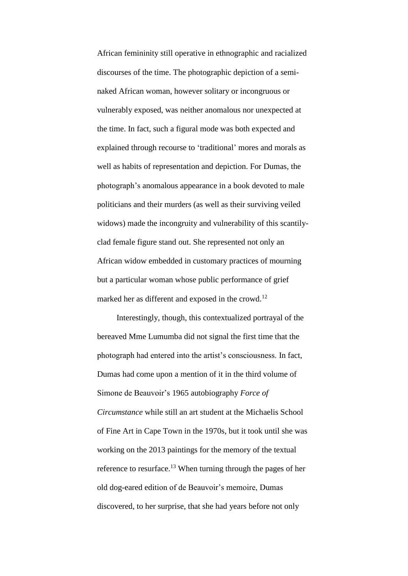African femininity still operative in ethnographic and racialized discourses of the time. The photographic depiction of a seminaked African woman, however solitary or incongruous or vulnerably exposed, was neither anomalous nor unexpected at the time. In fact, such a figural mode was both expected and explained through recourse to 'traditional' mores and morals as well as habits of representation and depiction. For Dumas, the photograph's anomalous appearance in a book devoted to male politicians and their murders (as well as their surviving veiled widows) made the incongruity and vulnerability of this scantilyclad female figure stand out. She represented not only an African widow embedded in customary practices of mourning but a particular woman whose public performance of grief marked her as different and exposed in the crowd.<sup>12</sup>

Interestingly, though, this contextualized portrayal of the bereaved Mme Lumumba did not signal the first time that the photograph had entered into the artist's consciousness. In fact, Dumas had come upon a mention of it in the third volume of Simone de Beauvoir's 1965 autobiography *Force of Circumstance* while still an art student at the Michaelis School of Fine Art in Cape Town in the 1970s, but it took until she was working on the 2013 paintings for the memory of the textual reference to resurface.<sup>13</sup> When turning through the pages of her old dog-eared edition of de Beauvoir's memoire, Dumas discovered, to her surprise, that she had years before not only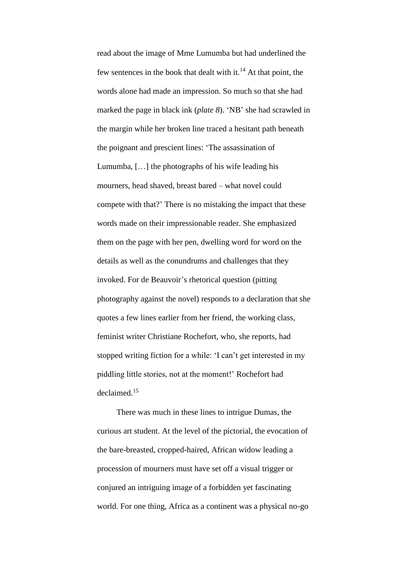read about the image of Mme Lumumba but had underlined the few sentences in the book that dealt with it. $^{14}$  At that point, the words alone had made an impression. So much so that she had marked the page in black ink (*plate 8*). 'NB' she had scrawled in the margin while her broken line traced a hesitant path beneath the poignant and prescient lines: 'The assassination of Lumumba, […] the photographs of his wife leading his mourners, head shaved, breast bared – what novel could compete with that?' There is no mistaking the impact that these words made on their impressionable reader. She emphasized them on the page with her pen, dwelling word for word on the details as well as the conundrums and challenges that they invoked. For de Beauvoir's rhetorical question (pitting photography against the novel) responds to a declaration that she quotes a few lines earlier from her friend, the working class, feminist writer Christiane Rochefort, who, she reports, had stopped writing fiction for a while: 'I can't get interested in my piddling little stories, not at the moment!' Rochefort had declaimed.<sup>15</sup>

There was much in these lines to intrigue Dumas, the curious art student. At the level of the pictorial, the evocation of the bare-breasted, cropped-haired, African widow leading a procession of mourners must have set off a visual trigger or conjured an intriguing image of a forbidden yet fascinating world. For one thing, Africa as a continent was a physical no-go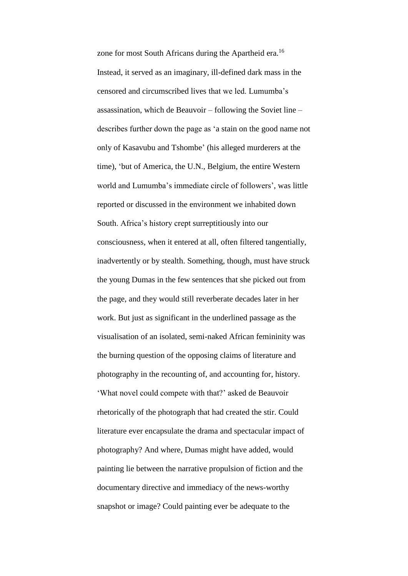zone for most South Africans during the Apartheid era.<sup>16</sup> Instead, it served as an imaginary, ill-defined dark mass in the censored and circumscribed lives that we led. Lumumba's assassination, which de Beauvoir – following the Soviet line – describes further down the page as 'a stain on the good name not only of Kasavubu and Tshombe' (his alleged murderers at the time), 'but of America, the U.N., Belgium, the entire Western world and Lumumba's immediate circle of followers', was little reported or discussed in the environment we inhabited down South. Africa's history crept surreptitiously into our consciousness, when it entered at all, often filtered tangentially, inadvertently or by stealth. Something, though, must have struck the young Dumas in the few sentences that she picked out from the page, and they would still reverberate decades later in her work. But just as significant in the underlined passage as the visualisation of an isolated, semi-naked African femininity was the burning question of the opposing claims of literature and photography in the recounting of, and accounting for, history. 'What novel could compete with that?' asked de Beauvoir rhetorically of the photograph that had created the stir. Could literature ever encapsulate the drama and spectacular impact of photography? And where, Dumas might have added, would painting lie between the narrative propulsion of fiction and the documentary directive and immediacy of the news-worthy snapshot or image? Could painting ever be adequate to the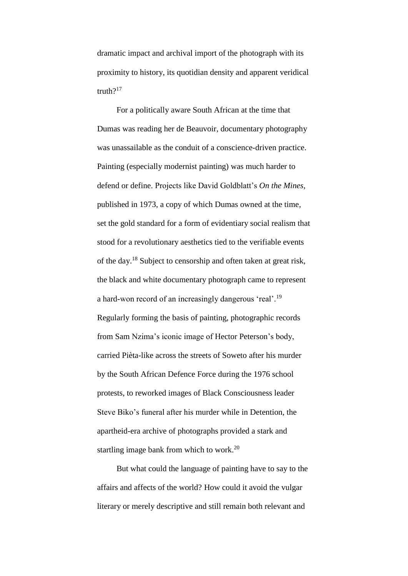dramatic impact and archival import of the photograph with its proximity to history, its quotidian density and apparent veridical truth $2^{17}$ 

For a politically aware South African at the time that Dumas was reading her de Beauvoir, documentary photography was unassailable as the conduit of a conscience-driven practice. Painting (especially modernist painting) was much harder to defend or define. Projects like David Goldblatt's *On the Mines*, published in 1973, a copy of which Dumas owned at the time, set the gold standard for a form of evidentiary social realism that stood for a revolutionary aesthetics tied to the verifiable events of the day.<sup>18</sup> Subject to censorship and often taken at great risk, the black and white documentary photograph came to represent a hard-won record of an increasingly dangerous 'real'.<sup>19</sup> Regularly forming the basis of painting, photographic records from Sam Nzima's iconic image of Hector Peterson's body, carried Pièta-like across the streets of Soweto after his murder by the South African Defence Force during the 1976 school protests, to reworked images of Black Consciousness leader Steve Biko's funeral after his murder while in Detention, the apartheid-era archive of photographs provided a stark and startling image bank from which to work.<sup>20</sup>

But what could the language of painting have to say to the affairs and affects of the world? How could it avoid the vulgar literary or merely descriptive and still remain both relevant and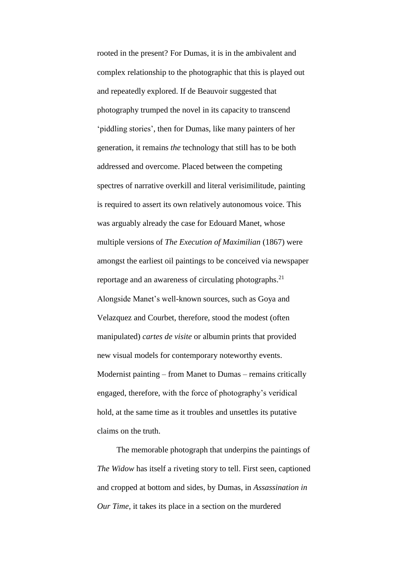rooted in the present? For Dumas, it is in the ambivalent and complex relationship to the photographic that this is played out and repeatedly explored. If de Beauvoir suggested that photography trumped the novel in its capacity to transcend 'piddling stories', then for Dumas, like many painters of her generation, it remains *the* technology that still has to be both addressed and overcome. Placed between the competing spectres of narrative overkill and literal verisimilitude, painting is required to assert its own relatively autonomous voice. This was arguably already the case for Edouard Manet, whose multiple versions of *The Execution of Maximilian* (1867) were amongst the earliest oil paintings to be conceived via newspaper reportage and an awareness of circulating photographs.<sup>21</sup> Alongside Manet's well-known sources, such as Goya and Velazquez and Courbet, therefore, stood the modest (often manipulated) *cartes de visite* or albumin prints that provided new visual models for contemporary noteworthy events. Modernist painting – from Manet to Dumas – remains critically engaged, therefore, with the force of photography's veridical hold, at the same time as it troubles and unsettles its putative claims on the truth.

The memorable photograph that underpins the paintings of *The Widow* has itself a riveting story to tell. First seen, captioned and cropped at bottom and sides, by Dumas, in *Assassination in Our Time*, it takes its place in a section on the murdered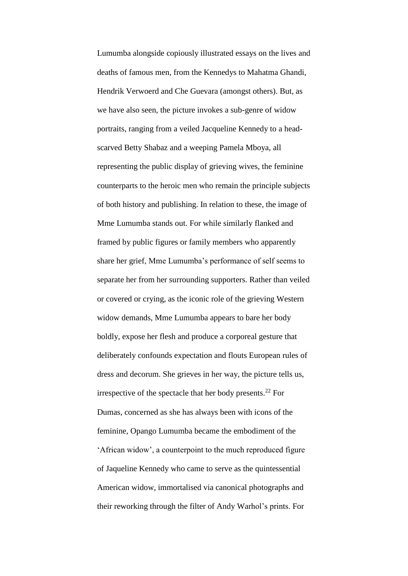Lumumba alongside copiously illustrated essays on the lives and deaths of famous men, from the Kennedys to Mahatma Ghandi, Hendrik Verwoerd and Che Guevara (amongst others). But, as we have also seen, the picture invokes a sub-genre of widow portraits, ranging from a veiled Jacqueline Kennedy to a headscarved Betty Shabaz and a weeping Pamela Mboya, all representing the public display of grieving wives, the feminine counterparts to the heroic men who remain the principle subjects of both history and publishing. In relation to these, the image of Mme Lumumba stands out. For while similarly flanked and framed by public figures or family members who apparently share her grief, Mme Lumumba's performance of self seems to separate her from her surrounding supporters. Rather than veiled or covered or crying, as the iconic role of the grieving Western widow demands, Mme Lumumba appears to bare her body boldly, expose her flesh and produce a corporeal gesture that deliberately confounds expectation and flouts European rules of dress and decorum. She grieves in her way, the picture tells us, irrespective of the spectacle that her body presents.<sup>22</sup> For Dumas, concerned as she has always been with icons of the feminine, Opango Lumumba became the embodiment of the 'African widow', a counterpoint to the much reproduced figure of Jaqueline Kennedy who came to serve as the quintessential American widow, immortalised via canonical photographs and their reworking through the filter of Andy Warhol's prints. For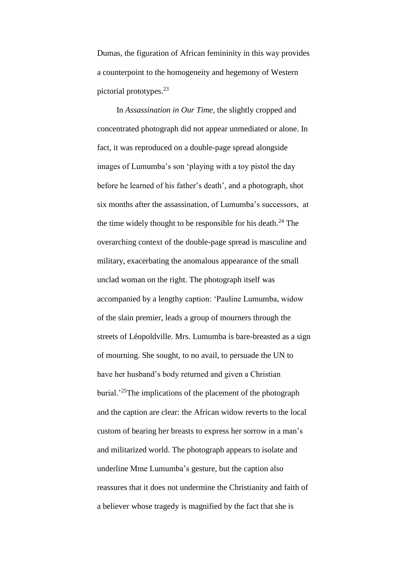Dumas, the figuration of African femininity in this way provides a counterpoint to the homogeneity and hegemony of Western pictorial prototypes.<sup>23</sup>

In *Assassination in Our Time*, the slightly cropped and concentrated photograph did not appear unmediated or alone. In fact, it was reproduced on a double-page spread alongside images of Lumumba's son 'playing with a toy pistol the day before he learned of his father's death', and a photograph, shot six months after the assassination, of Lumumba's successors, at the time widely thought to be responsible for his death. $^{24}$  The overarching context of the double-page spread is masculine and military, exacerbating the anomalous appearance of the small unclad woman on the right. The photograph itself was accompanied by a lengthy caption: 'Pauline Lumumba, widow of the slain premier, leads a group of mourners through the streets of Léopoldville. Mrs. Lumumba is bare-breasted as a sign of mourning. She sought, to no avail, to persuade the UN to have her husband's body returned and given a Christian burial.<sup>25</sup>The implications of the placement of the photograph and the caption are clear: the African widow reverts to the local custom of bearing her breasts to express her sorrow in a man's and militarized world. The photograph appears to isolate and underline Mme Lumumba's gesture, but the caption also reassures that it does not undermine the Christianity and faith of a believer whose tragedy is magnified by the fact that she is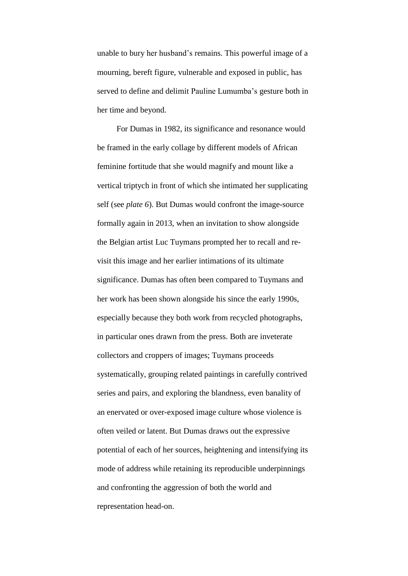unable to bury her husband's remains. This powerful image of a mourning, bereft figure, vulnerable and exposed in public, has served to define and delimit Pauline Lumumba's gesture both in her time and beyond.

For Dumas in 1982, its significance and resonance would be framed in the early collage by different models of African feminine fortitude that she would magnify and mount like a vertical triptych in front of which she intimated her supplicating self (see *plate 6*). But Dumas would confront the image-source formally again in 2013, when an invitation to show alongside the Belgian artist Luc Tuymans prompted her to recall and revisit this image and her earlier intimations of its ultimate significance. Dumas has often been compared to Tuymans and her work has been shown alongside his since the early 1990s, especially because they both work from recycled photographs, in particular ones drawn from the press. Both are inveterate collectors and croppers of images; Tuymans proceeds systematically, grouping related paintings in carefully contrived series and pairs, and exploring the blandness, even banality of an enervated or over-exposed image culture whose violence is often veiled or latent. But Dumas draws out the expressive potential of each of her sources, heightening and intensifying its mode of address while retaining its reproducible underpinnings and confronting the aggression of both the world and representation head-on.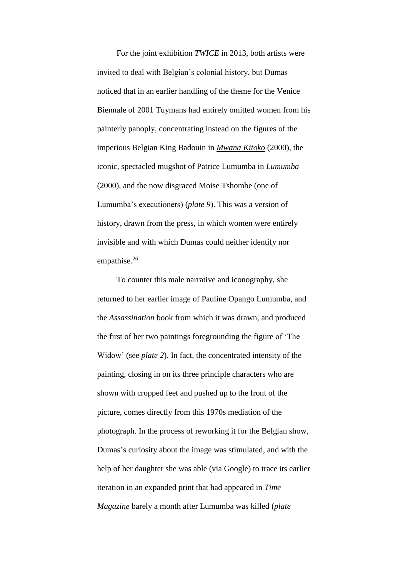For the joint exhibition *TWICE* in 2013, both artists were invited to deal with Belgian's colonial history, but Dumas noticed that in an earlier handling of the theme for the Venice Biennale of 2001 Tuymans had entirely omitted women from his painterly panoply, concentrating instead on the figures of the imperious Belgian King Badouin in *Mwana Kitoko* (2000), the iconic, spectacled mugshot of Patrice Lumumba in *Lumumba* (2000), and the now disgraced Moise Tshombe (one of Lumumba's executioners) (*plate 9*). This was a version of history, drawn from the press, in which women were entirely invisible and with which Dumas could neither identify nor empathise.<sup>26</sup>

To counter this male narrative and iconography, she returned to her earlier image of Pauline Opango Lumumba, and the *Assassination* book from which it was drawn, and produced the first of her two paintings foregrounding the figure of 'The Widow' (see *plate 2*). In fact, the concentrated intensity of the painting, closing in on its three principle characters who are shown with cropped feet and pushed up to the front of the picture, comes directly from this 1970s mediation of the photograph. In the process of reworking it for the Belgian show, Dumas's curiosity about the image was stimulated, and with the help of her daughter she was able (via Google) to trace its earlier iteration in an expanded print that had appeared in *Time Magazine* barely a month after Lumumba was killed (*plate*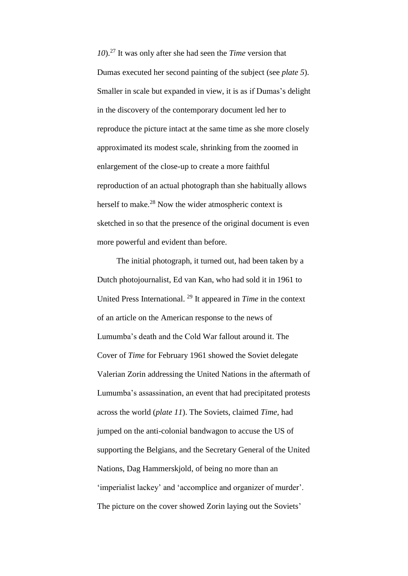*10*). <sup>27</sup> It was only after she had seen the *Time* version that Dumas executed her second painting of the subject (see *plate 5*). Smaller in scale but expanded in view, it is as if Dumas's delight in the discovery of the contemporary document led her to reproduce the picture intact at the same time as she more closely approximated its modest scale, shrinking from the zoomed in enlargement of the close-up to create a more faithful reproduction of an actual photograph than she habitually allows herself to make.<sup>28</sup> Now the wider atmospheric context is sketched in so that the presence of the original document is even more powerful and evident than before.

The initial photograph, it turned out, had been taken by a Dutch photojournalist, Ed van Kan, who had sold it in 1961 to United Press International. <sup>29</sup> It appeared in *Time* in the context of an article on the American response to the news of Lumumba's death and the Cold War fallout around it. The Cover of *Time* for February 1961 showed the Soviet delegate Valerian Zorin addressing the United Nations in the aftermath of Lumumba's assassination, an event that had precipitated protests across the world (*plate 11*). The Soviets, claimed *Time*, had jumped on the anti-colonial bandwagon to accuse the US of supporting the Belgians, and the Secretary General of the United Nations, Dag Hammerskjold, of being no more than an 'imperialist lackey' and 'accomplice and organizer of murder'. The picture on the cover showed Zorin laying out the Soviets'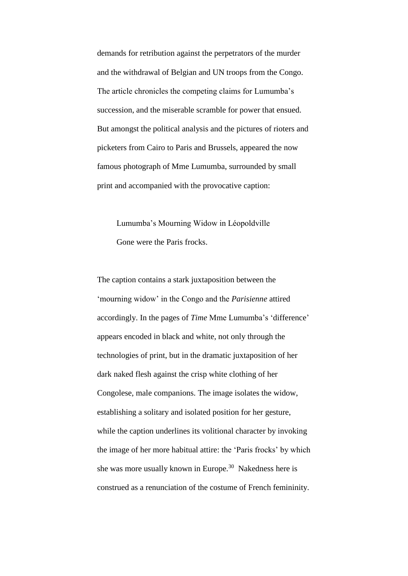demands for retribution against the perpetrators of the murder and the withdrawal of Belgian and UN troops from the Congo. The article chronicles the competing claims for Lumumba's succession, and the miserable scramble for power that ensued. But amongst the political analysis and the pictures of rioters and picketers from Cairo to Paris and Brussels, appeared the now famous photograph of Mme Lumumba, surrounded by small print and accompanied with the provocative caption:

Lumumba's Mourning Widow in Léopoldville Gone were the Paris frocks.

The caption contains a stark juxtaposition between the 'mourning widow' in the Congo and the *Parisienne* attired accordingly. In the pages of *Time* Mme Lumumba's 'difference' appears encoded in black and white, not only through the technologies of print, but in the dramatic juxtaposition of her dark naked flesh against the crisp white clothing of her Congolese, male companions. The image isolates the widow, establishing a solitary and isolated position for her gesture, while the caption underlines its volitional character by invoking the image of her more habitual attire: the 'Paris frocks' by which she was more usually known in Europe. <sup>30</sup> Nakedness here is construed as a renunciation of the costume of French femininity.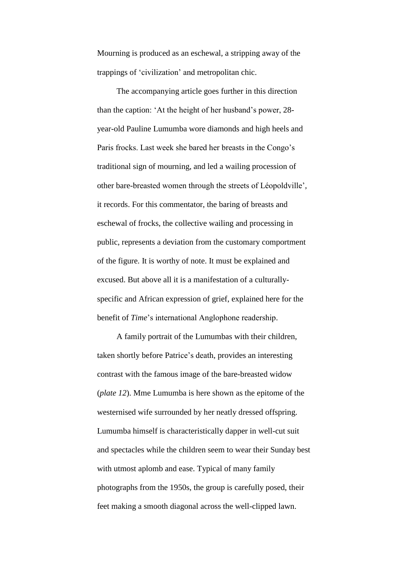Mourning is produced as an eschewal, a stripping away of the trappings of 'civilization' and metropolitan chic.

The accompanying article goes further in this direction than the caption: 'At the height of her husband's power, 28 year-old Pauline Lumumba wore diamonds and high heels and Paris frocks. Last week she bared her breasts in the Congo's traditional sign of mourning, and led a wailing procession of other bare-breasted women through the streets of Léopoldville', it records. For this commentator, the baring of breasts and eschewal of frocks, the collective wailing and processing in public, represents a deviation from the customary comportment of the figure. It is worthy of note. It must be explained and excused. But above all it is a manifestation of a culturallyspecific and African expression of grief, explained here for the benefit of *Time*'s international Anglophone readership.

A family portrait of the Lumumbas with their children, taken shortly before Patrice's death, provides an interesting contrast with the famous image of the bare-breasted widow (*plate 12*). Mme Lumumba is here shown as the epitome of the westernised wife surrounded by her neatly dressed offspring. Lumumba himself is characteristically dapper in well-cut suit and spectacles while the children seem to wear their Sunday best with utmost aplomb and ease. Typical of many family photographs from the 1950s, the group is carefully posed, their feet making a smooth diagonal across the well-clipped lawn.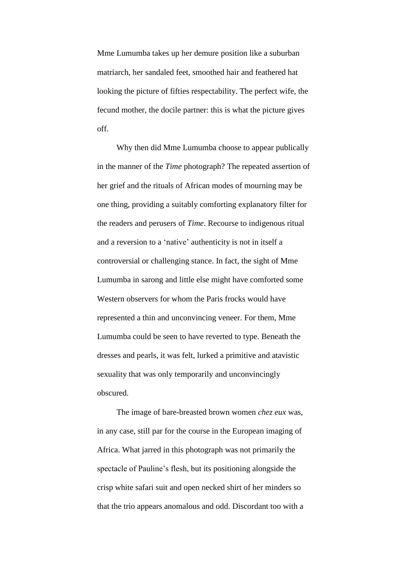Mme Lumumba takes up her demure position like a suburban matriarch, her sandaled feet, smoothed hair and feathered hat looking the picture of fifties respectability. The perfect wife, the fecund mother, the docile partner: this is what the picture gives off.

Why then did Mme Lumumba choose to appear publically in the manner of the *Time* photograph? The repeated assertion of her grief and the rituals of African modes of mourning may be one thing, providing a suitably comforting explanatory filter for the readers and perusers of *Time*. Recourse to indigenous ritual and a reversion to a 'native' authenticity is not in itself a controversial or challenging stance. In fact, the sight of Mme Lumumba in sarong and little else might have comforted some Western observers for whom the Paris frocks would have represented a thin and unconvincing veneer. For them, Mme Lumumba could be seen to have reverted to type. Beneath the dresses and pearls, it was felt, lurked a primitive and atavistic sexuality that was only temporarily and unconvincingly obscured.

The image of bare-breasted brown women *chez eux* was, in any case, still par for the course in the European imaging of Africa. What jarred in this photograph was not primarily the spectacle of Pauline's flesh, but its positioning alongside the crisp white safari suit and open necked shirt of her minders so that the trio appears anomalous and odd. Discordant too with a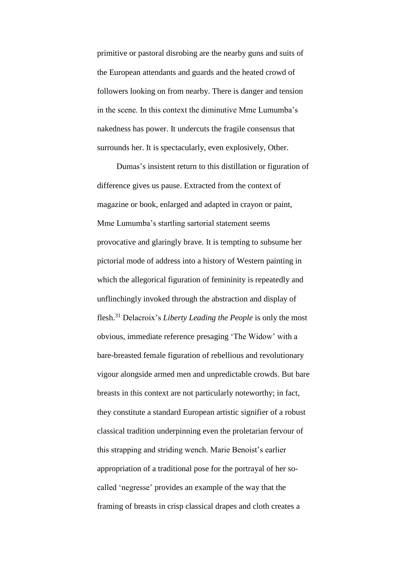primitive or pastoral disrobing are the nearby guns and suits of the European attendants and guards and the heated crowd of followers looking on from nearby. There is danger and tension in the scene. In this context the diminutive Mme Lumumba's nakedness has power. It undercuts the fragile consensus that surrounds her. It is spectacularly, even explosively, Other.

Dumas's insistent return to this distillation or figuration of difference gives us pause. Extracted from the context of magazine or book, enlarged and adapted in crayon or paint, Mme Lumumba's startling sartorial statement seems provocative and glaringly brave. It is tempting to subsume her pictorial mode of address into a history of Western painting in which the allegorical figuration of femininity is repeatedly and unflinchingly invoked through the abstraction and display of flesh. <sup>31</sup> Delacroix's *Liberty Leading the People* is only the most obvious, immediate reference presaging 'The Widow' with a bare-breasted female figuration of rebellious and revolutionary vigour alongside armed men and unpredictable crowds. But bare breasts in this context are not particularly noteworthy; in fact, they constitute a standard European artistic signifier of a robust classical tradition underpinning even the proletarian fervour of this strapping and striding wench. Marie Benoist's earlier appropriation of a traditional pose for the portrayal of her socalled 'negresse' provides an example of the way that the framing of breasts in crisp classical drapes and cloth creates a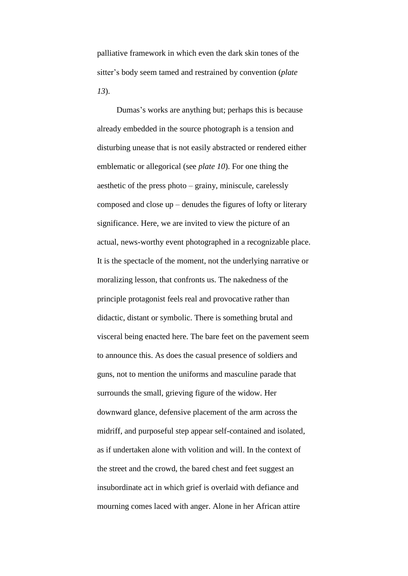palliative framework in which even the dark skin tones of the sitter's body seem tamed and restrained by convention (*plate 13*).

Dumas's works are anything but; perhaps this is because already embedded in the source photograph is a tension and disturbing unease that is not easily abstracted or rendered either emblematic or allegorical (see *plate 10*). For one thing the aesthetic of the press photo – grainy, miniscule, carelessly composed and close up – denudes the figures of lofty or literary significance. Here, we are invited to view the picture of an actual, news-worthy event photographed in a recognizable place. It is the spectacle of the moment, not the underlying narrative or moralizing lesson, that confronts us. The nakedness of the principle protagonist feels real and provocative rather than didactic, distant or symbolic. There is something brutal and visceral being enacted here. The bare feet on the pavement seem to announce this. As does the casual presence of soldiers and guns, not to mention the uniforms and masculine parade that surrounds the small, grieving figure of the widow. Her downward glance, defensive placement of the arm across the midriff, and purposeful step appear self-contained and isolated, as if undertaken alone with volition and will. In the context of the street and the crowd, the bared chest and feet suggest an insubordinate act in which grief is overlaid with defiance and mourning comes laced with anger. Alone in her African attire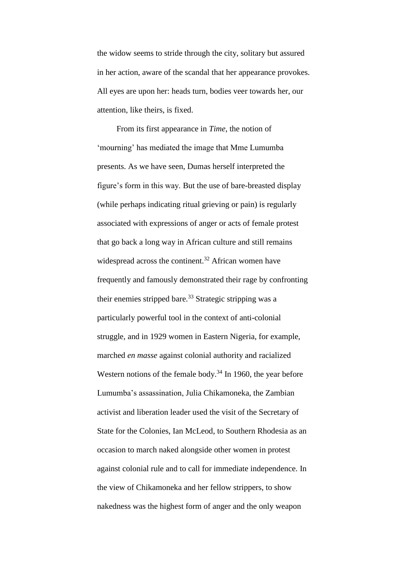the widow seems to stride through the city, solitary but assured in her action, aware of the scandal that her appearance provokes. All eyes are upon her: heads turn, bodies veer towards her, our attention, like theirs, is fixed.

From its first appearance in *Time*, the notion of 'mourning' has mediated the image that Mme Lumumba presents. As we have seen, Dumas herself interpreted the figure's form in this way. But the use of bare-breasted display (while perhaps indicating ritual grieving or pain) is regularly associated with expressions of anger or acts of female protest that go back a long way in African culture and still remains widespread across the continent.<sup>32</sup> African women have frequently and famously demonstrated their rage by confronting their enemies stripped bare.<sup>33</sup> Strategic stripping was a particularly powerful tool in the context of anti-colonial struggle, and in 1929 women in Eastern Nigeria, for example, marched *en masse* against colonial authority and racialized Western notions of the female body.<sup>34</sup> In 1960, the year before Lumumba's assassination, Julia Chikamoneka, the Zambian activist and liberation leader used the visit of the Secretary of State for the Colonies, Ian McLeod, to Southern Rhodesia as an occasion to march naked alongside other women in protest against colonial rule and to call for immediate independence. In the view of Chikamoneka and her fellow strippers, to show nakedness was the highest form of anger and the only weapon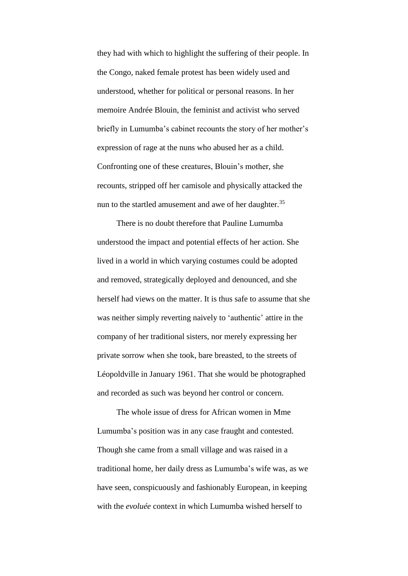they had with which to highlight the suffering of their people. In the Congo, naked female protest has been widely used and understood, whether for political or personal reasons. In her memoire Andrée Blouin, the feminist and activist who served briefly in Lumumba's cabinet recounts the story of her mother's expression of rage at the nuns who abused her as a child. Confronting one of these creatures, Blouin's mother, she recounts, stripped off her camisole and physically attacked the nun to the startled amusement and awe of her daughter.<sup>35</sup>

There is no doubt therefore that Pauline Lumumba understood the impact and potential effects of her action. She lived in a world in which varying costumes could be adopted and removed, strategically deployed and denounced, and she herself had views on the matter. It is thus safe to assume that she was neither simply reverting naively to 'authentic' attire in the company of her traditional sisters, nor merely expressing her private sorrow when she took, bare breasted, to the streets of Léopoldville in January 1961. That she would be photographed and recorded as such was beyond her control or concern.

The whole issue of dress for African women in Mme Lumumba's position was in any case fraught and contested. Though she came from a small village and was raised in a traditional home, her daily dress as Lumumba's wife was, as we have seen, conspicuously and fashionably European, in keeping with the *evoluée* context in which Lumumba wished herself to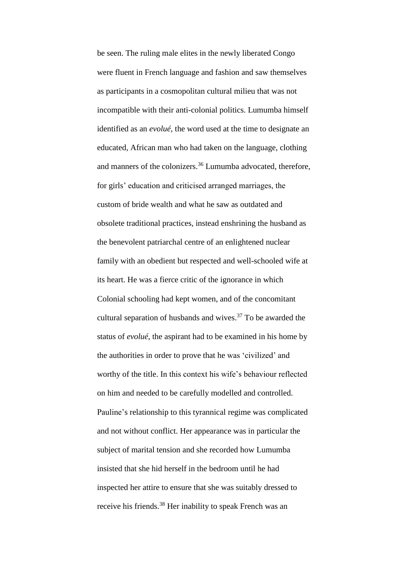be seen. The ruling male elites in the newly liberated Congo were fluent in French language and fashion and saw themselves as participants in a cosmopolitan cultural milieu that was not incompatible with their anti-colonial politics. Lumumba himself identified as an *evolué*, the word used at the time to designate an educated, African man who had taken on the language, clothing and manners of the colonizers. <sup>36</sup> Lumumba advocated, therefore, for girls' education and criticised arranged marriages, the custom of bride wealth and what he saw as outdated and obsolete traditional practices, instead enshrining the husband as the benevolent patriarchal centre of an enlightened nuclear family with an obedient but respected and well-schooled wife at its heart. He was a fierce critic of the ignorance in which Colonial schooling had kept women, and of the concomitant cultural separation of husbands and wives. <sup>37</sup> To be awarded the status of *evolué*, the aspirant had to be examined in his home by the authorities in order to prove that he was 'civilized' and worthy of the title. In this context his wife's behaviour reflected on him and needed to be carefully modelled and controlled. Pauline's relationship to this tyrannical regime was complicated and not without conflict. Her appearance was in particular the subject of marital tension and she recorded how Lumumba insisted that she hid herself in the bedroom until he had inspected her attire to ensure that she was suitably dressed to receive his friends.<sup>38</sup> Her inability to speak French was an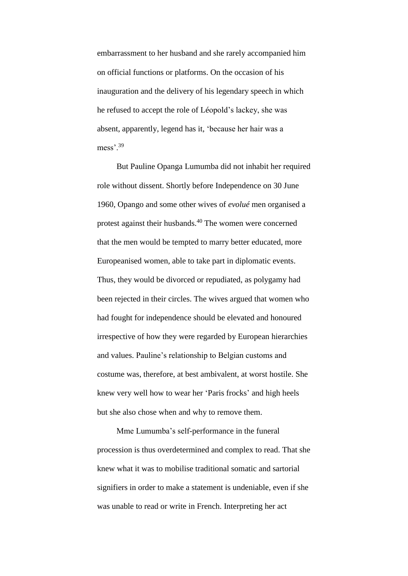embarrassment to her husband and she rarely accompanied him on official functions or platforms. On the occasion of his inauguration and the delivery of his legendary speech in which he refused to accept the role of Léopold's lackey, she was absent, apparently, legend has it, 'because her hair was a mess<sup>39</sup>

But Pauline Opanga Lumumba did not inhabit her required role without dissent. Shortly before Independence on 30 June 1960, Opango and some other wives of *evolué* men organised a protest against their husbands. <sup>40</sup> The women were concerned that the men would be tempted to marry better educated, more Europeanised women, able to take part in diplomatic events. Thus, they would be divorced or repudiated, as polygamy had been rejected in their circles. The wives argued that women who had fought for independence should be elevated and honoured irrespective of how they were regarded by European hierarchies and values. Pauline's relationship to Belgian customs and costume was, therefore, at best ambivalent, at worst hostile. She knew very well how to wear her 'Paris frocks' and high heels but she also chose when and why to remove them.

Mme Lumumba's self-performance in the funeral procession is thus overdetermined and complex to read. That she knew what it was to mobilise traditional somatic and sartorial signifiers in order to make a statement is undeniable, even if she was unable to read or write in French. Interpreting her act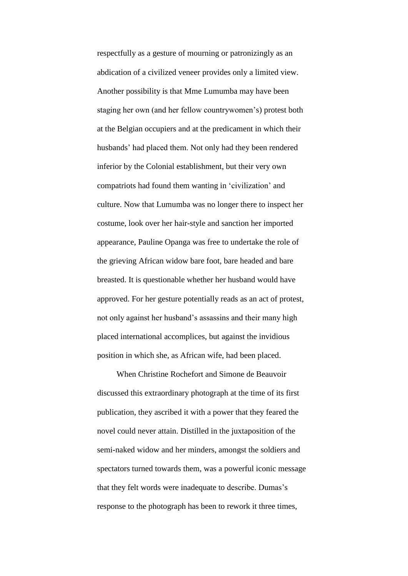respectfully as a gesture of mourning or patronizingly as an abdication of a civilized veneer provides only a limited view. Another possibility is that Mme Lumumba may have been staging her own (and her fellow countrywomen's) protest both at the Belgian occupiers and at the predicament in which their husbands' had placed them. Not only had they been rendered inferior by the Colonial establishment, but their very own compatriots had found them wanting in 'civilization' and culture. Now that Lumumba was no longer there to inspect her costume, look over her hair-style and sanction her imported appearance, Pauline Opanga was free to undertake the role of the grieving African widow bare foot, bare headed and bare breasted. It is questionable whether her husband would have approved. For her gesture potentially reads as an act of protest, not only against her husband's assassins and their many high placed international accomplices, but against the invidious position in which she, as African wife, had been placed.

When Christine Rochefort and Simone de Beauvoir discussed this extraordinary photograph at the time of its first publication, they ascribed it with a power that they feared the novel could never attain. Distilled in the juxtaposition of the semi-naked widow and her minders, amongst the soldiers and spectators turned towards them, was a powerful iconic message that they felt words were inadequate to describe. Dumas's response to the photograph has been to rework it three times,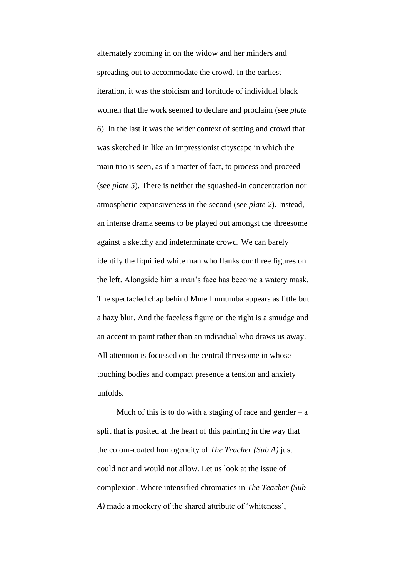alternately zooming in on the widow and her minders and spreading out to accommodate the crowd. In the earliest iteration, it was the stoicism and fortitude of individual black women that the work seemed to declare and proclaim (see *plate 6*). In the last it was the wider context of setting and crowd that was sketched in like an impressionist cityscape in which the main trio is seen, as if a matter of fact, to process and proceed (see *plate 5*). There is neither the squashed-in concentration nor atmospheric expansiveness in the second (see *plate 2*). Instead, an intense drama seems to be played out amongst the threesome against a sketchy and indeterminate crowd. We can barely identify the liquified white man who flanks our three figures on the left. Alongside him a man's face has become a watery mask. The spectacled chap behind Mme Lumumba appears as little but a hazy blur. And the faceless figure on the right is a smudge and an accent in paint rather than an individual who draws us away. All attention is focussed on the central threesome in whose touching bodies and compact presence a tension and anxiety unfolds.

Much of this is to do with a staging of race and gender –  $a$ split that is posited at the heart of this painting in the way that the colour-coated homogeneity of *The Teacher (Sub A)* just could not and would not allow. Let us look at the issue of complexion. Where intensified chromatics in *The Teacher (Sub A)* made a mockery of the shared attribute of 'whiteness',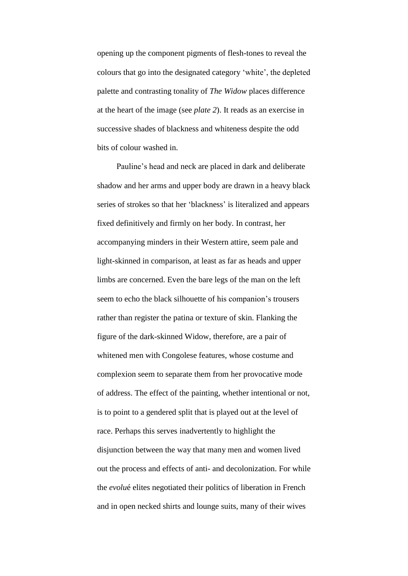opening up the component pigments of flesh-tones to reveal the colours that go into the designated category 'white', the depleted palette and contrasting tonality of *The Widow* places difference at the heart of the image (see *plate 2*). It reads as an exercise in successive shades of blackness and whiteness despite the odd bits of colour washed in.

Pauline's head and neck are placed in dark and deliberate shadow and her arms and upper body are drawn in a heavy black series of strokes so that her 'blackness' is literalized and appears fixed definitively and firmly on her body. In contrast, her accompanying minders in their Western attire, seem pale and light-skinned in comparison, at least as far as heads and upper limbs are concerned. Even the bare legs of the man on the left seem to echo the black silhouette of his companion's trousers rather than register the patina or texture of skin. Flanking the figure of the dark-skinned Widow, therefore, are a pair of whitened men with Congolese features, whose costume and complexion seem to separate them from her provocative mode of address. The effect of the painting, whether intentional or not, is to point to a gendered split that is played out at the level of race. Perhaps this serves inadvertently to highlight the disjunction between the way that many men and women lived out the process and effects of anti- and decolonization. For while the *evolu*é elites negotiated their politics of liberation in French and in open necked shirts and lounge suits, many of their wives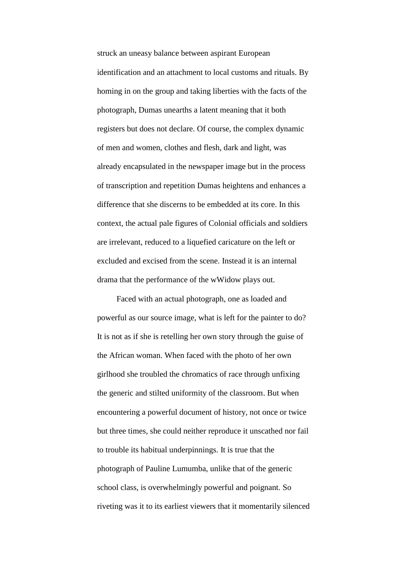struck an uneasy balance between aspirant European identification and an attachment to local customs and rituals. By homing in on the group and taking liberties with the facts of the photograph, Dumas unearths a latent meaning that it both registers but does not declare. Of course, the complex dynamic of men and women, clothes and flesh, dark and light, was already encapsulated in the newspaper image but in the process of transcription and repetition Dumas heightens and enhances a difference that she discerns to be embedded at its core. In this context, the actual pale figures of Colonial officials and soldiers are irrelevant, reduced to a liquefied caricature on the left or excluded and excised from the scene. Instead it is an internal drama that the performance of the wWidow plays out.

Faced with an actual photograph, one as loaded and powerful as our source image, what is left for the painter to do? It is not as if she is retelling her own story through the guise of the African woman. When faced with the photo of her own girlhood she troubled the chromatics of race through unfixing the generic and stilted uniformity of the classroom. But when encountering a powerful document of history, not once or twice but three times, she could neither reproduce it unscathed nor fail to trouble its habitual underpinnings. It is true that the photograph of Pauline Lumumba, unlike that of the generic school class, is overwhelmingly powerful and poignant. So riveting was it to its earliest viewers that it momentarily silenced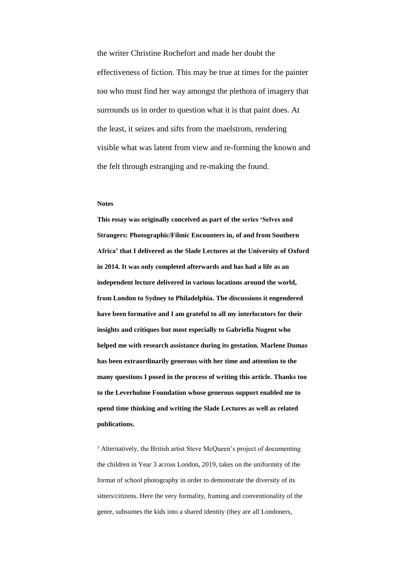the writer Christine Rochefort and made her doubt the effectiveness of fiction. This may be true at times for the painter too who must find her way amongst the plethora of imagery that surrounds us in order to question what it is that paint does. At the least, it seizes and sifts from the maelstrom, rendering visible what was latent from view and re-forming the known and the felt through estranging and re-making the found.

## **Notes**

**This essay was originally conceived as part of the series 'Selves and Strangers: Photographic/Filmic Encounters in, of and from Southern Africa' that I delivered as the Slade Lectures at the University of Oxford in 2014. It was only completed afterwards and has had a life as an independent lecture delivered in various locations around the world, from London to Sydney to Philadelphia. The discussions it engendered have been formative and I am grateful to all my interlocutors for their insights and critiques but most especially to Gabriella Nugent who helped me with research assistance during its gestation. Marlene Dumas has been extraordinarily generous with her time and attention to the many questions I posed in the process of writing this article. Thanks too to the Leverhulme Foundation whose generous support enabled me to spend time thinking and writing the Slade Lectures as well as related publications.**

<sup>1</sup> Alternatively, the British artist Steve McQueen's project of documenting the children in Year 3 across London, 2019, takes on the uniformity of the format of school photography in order to demonstrate the diversity of its sitters/citizens. Here the very formality, framing and conventionality of the genre, subsumes the kids into a shared identity (they are all Londoners,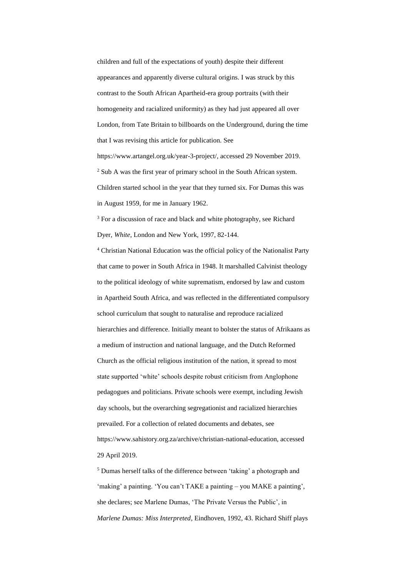children and full of the expectations of youth) despite their different appearances and apparently diverse cultural origins. I was struck by this contrast to the South African Apartheid-era group portraits (with their homogeneity and racialized uniformity) as they had just appeared all over London, from Tate Britain to billboards on the Underground, during the time that I was revising this article for publication. See https://www.artangel.org.uk/year-3-project/, accessed 29 November 2019. <sup>2</sup> Sub A was the first year of primary school in the South African system. Children started school in the year that they turned six. For Dumas this was

<sup>3</sup> For a discussion of race and black and white photography, see Richard Dyer, *White*, London and New York, 1997, 82-144.

in August 1959, for me in January 1962.

<sup>4</sup> Christian National Education was the official policy of the Nationalist Party that came to power in South Africa in 1948. It marshalled Calvinist theology to the political ideology of white suprematism, endorsed by law and custom in Apartheid South Africa, and was reflected in the differentiated compulsory school curriculum that sought to naturalise and reproduce racialized hierarchies and difference. Initially meant to bolster the status of Afrikaans as a medium of instruction and national language, and the Dutch Reformed Church as the official religious institution of the nation, it spread to most state supported 'white' schools despite robust criticism from Anglophone pedagogues and politicians. Private schools were exempt, including Jewish day schools, but the overarching segregationist and racialized hierarchies prevailed. For a collection of related documents and debates, see https://www.sahistory.org.za/archive/christian-national-education, accessed 29 April 2019.

<sup>5</sup> Dumas herself talks of the difference between 'taking' a photograph and 'making' a painting. 'You can't TAKE a painting – you MAKE a painting', she declares; see Marlene Dumas, 'The Private Versus the Public', in *Marlene Dumas: Miss Interpreted*, Eindhoven, 1992, 43. Richard Shiff plays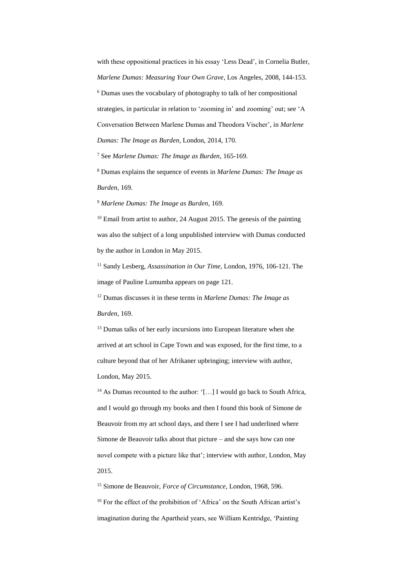with these oppositional practices in his essay 'Less Dead', in Cornelia Butler, *Marlene Dumas: Measuring Your Own Grave*, Los Angeles, 2008, 144-153.

<sup>6</sup> Dumas uses the vocabulary of photography to talk of her compositional strategies, in particular in relation to 'zooming in' and zooming' out; see 'A Conversation Between Marlene Dumas and Theodora Vischer', in *Marlene Dumas: The Image as Burden*, London, 2014, 170.

<sup>7</sup> See *Marlene Dumas: The Image as Burden*, 165-169.

<sup>8</sup> Dumas explains the sequence of events in *Marlene Dumas: The Image as Burden*, 169.

<sup>9</sup> *Marlene Dumas: The Image as Burden*, 169.

 $10$  Email from artist to author, 24 August 2015. The genesis of the painting was also the subject of a long unpublished interview with Dumas conducted by the author in London in May 2015.

<sup>11</sup> Sandy Lesberg, *Assassination in Our Time*, London, 1976, 106-121. The image of Pauline Lumumba appears on page 121.

<sup>12</sup> Dumas discusses it in these terms in *Marlene Dumas: The Image as Burden*, 169.

<sup>13</sup> Dumas talks of her early incursions into European literature when she arrived at art school in Cape Town and was exposed, for the first time, to a culture beyond that of her Afrikaner upbringing; interview with author, London, May 2015.

<sup>14</sup> As Dumas recounted to the author: '[...] I would go back to South Africa, and I would go through my books and then I found this book of Simone de Beauvoir from my art school days, and there I see I had underlined where Simone de Beauvoir talks about that picture – and she says how can one novel compete with a picture like that'; interview with author, London, May 2015.

<sup>15</sup> Simone de Beauvoir, *Force of Circumstance*, London, 1968, 596.

<sup>16</sup> For the effect of the prohibition of 'Africa' on the South African artist's imagination during the Apartheid years, see William Kentridge, 'Painting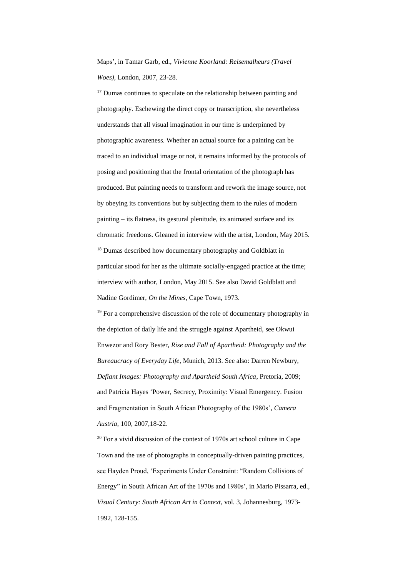Maps', in Tamar Garb, ed., *Vivienne Koorland: Reisemalheurs (Travel Woes)*, London, 2007, 23-28.

<sup>17</sup> Dumas continues to speculate on the relationship between painting and photography. Eschewing the direct copy or transcription, she nevertheless understands that all visual imagination in our time is underpinned by photographic awareness. Whether an actual source for a painting can be traced to an individual image or not, it remains informed by the protocols of posing and positioning that the frontal orientation of the photograph has produced. But painting needs to transform and rework the image source, not by obeying its conventions but by subjecting them to the rules of modern painting – its flatness, its gestural plenitude, its animated surface and its chromatic freedoms. Gleaned in interview with the artist, London, May 2015. <sup>18</sup> Dumas described how documentary photography and Goldblatt in particular stood for her as the ultimate socially-engaged practice at the time; interview with author, London, May 2015. See also David Goldblatt and Nadine Gordimer, *On the Mines*, Cape Town, 1973.

 $19$  For a comprehensive discussion of the role of documentary photography in the depiction of daily life and the struggle against Apartheid, see Okwui Enwezor and Rory Bester*, Rise and Fall of Apartheid: Photography and the Bureaucracy of Everyday Life*, Munich, 2013. See also: Darren Newbury, *Defiant Images: Photography and Apartheid South Africa*, Pretoria, 2009; and Patricia Hayes 'Power, Secrecy, Proximity: Visual Emergency. Fusion and Fragmentation in South African Photography of the 1980s', *Camera Austria*, 100, 2007,18-22.

 $20$  For a vivid discussion of the context of 1970s art school culture in Cape Town and the use of photographs in conceptually-driven painting practices, see Hayden Proud, 'Experiments Under Constraint: "Random Collisions of Energy" in South African Art of the 1970s and 1980s', in Mario Pissarra, ed., *Visual Century: South African Art in Context*, vol. 3, Johannesburg, 1973- 1992, 128-155.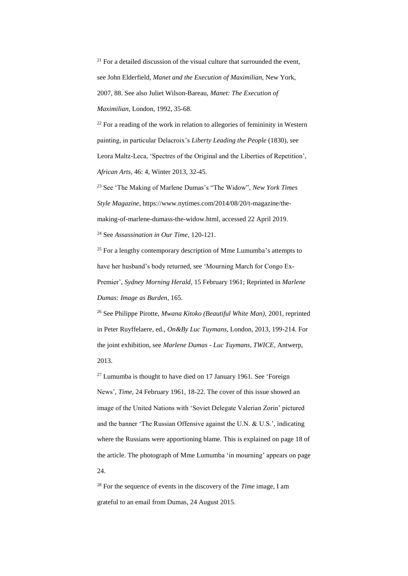$21$  For a detailed discussion of the visual culture that surrounded the event, see John Elderfield, *Manet and the Execution of Maximilian*, New York, 2007, 88. See also Juliet Wilson-Bareau, *Manet: The Execution of Maximilian*, London, 1992, 35-68.

 $22$  For a reading of the work in relation to allegories of femininity in Western painting, in particular Delacroix's *Liberty Leading the People* (1830), see Leora Maltz-Leca, 'Spectres of the Original and the Liberties of Repetition', *African Arts*, 46: 4, Winter 2013, 32-45.

<sup>23</sup> See 'The Making of Marlene Dumas's "The Widow", *New York Times Style Magazine*, https://www.nytimes.com/2014/08/20/t-magazine/themaking-of-marlene-dumass-the-widow.html, accessed 22 April 2019. <sup>24</sup> See *Assassination in Our Time*, 120-121.

<sup>25</sup> For a lengthy contemporary description of Mme Lumumba's attempts to have her husband's body returned, see 'Mourning March for Congo Ex-Premier', *Sydney Morning Herald*, 15 February 1961; Reprinted in *Marlene Dumas: Image as Burden*, 165.

<sup>26</sup> See Philippe Pirotte, *Mwana Kitoko (Beautiful White Man)*, 2001, reprinted in Peter Ruyffelaere, ed., *On&By Luc Tuymans*, London, 2013, 199-214. For the joint exhibition, see *Marlene Dumas - Luc Tuymans, TWICE*, Antwerp, 2013.

 $27$  Lumumba is thought to have died on 17 January 1961. See 'Foreign' News', *Time*, 24 February 1961, 18-22. The cover of this issue showed an image of the United Nations with 'Soviet Delegate Valerian Zorin' pictured and the banner 'The Russian Offensive against the U.N. & U.S.', indicating where the Russians were apportioning blame. This is explained on page 18 of the article. The photograph of Mme Lumumba 'in mourning' appears on page 24.

<sup>28</sup> For the sequence of events in the discovery of the *Time* image, I am grateful to an email from Dumas, 24 August 2015.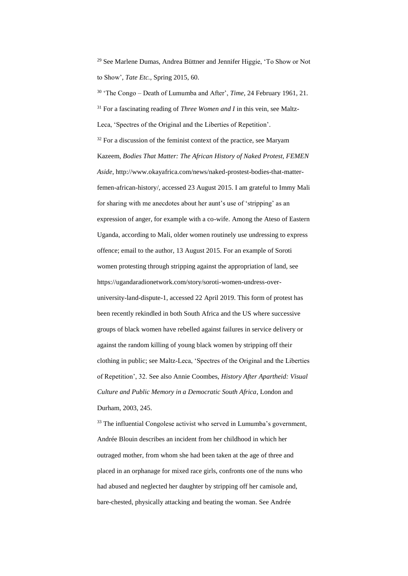<sup>29</sup> See Marlene Dumas, Andrea Büttner and Jennifer Higgie, 'To Show or Not to Show', *Tate Etc.*, Spring 2015, 60.

<sup>30</sup> 'The Congo – Death of Lumumba and After', *Time*, 24 February 1961, 21. <sup>31</sup> For a fascinating reading of *Three Women and I* in this vein, see Maltz-Leca, 'Spectres of the Original and the Liberties of Repetition'.  $32$  For a discussion of the feminist context of the practice, see Maryam Kazeem, *Bodies That Matter: The African History of Naked Protest, FEMEN Aside*, http://www.okayafrica.com/news/naked-prostest-bodies-that-matterfemen-african-history/, accessed 23 August 2015. I am grateful to Immy Mali for sharing with me anecdotes about her aunt's use of 'stripping' as an expression of anger, for example with a co-wife. Among the Ateso of Eastern Uganda, according to Mali, older women routinely use undressing to express offence; email to the author, 13 August 2015. For an example of Soroti women protesting through stripping against the appropriation of land, see https://ugandaradionetwork.com/story/soroti-women-undress-overuniversity-land-dispute-1, accessed 22 April 2019. This form of protest has been recently rekindled in both South Africa and the US where successive groups of black women have rebelled against failures in service delivery or against the random killing of young black women by stripping off their clothing in public; see Maltz-Leca, 'Spectres of the Original and the Liberties of Repetition', 32. See also Annie Coombes, *History After Apartheid: Visual Culture and Public Memory in a Democratic South Africa*, London and Durham, 2003, 245.

 $33$  The influential Congolese activist who served in Lumumba's government, Andrée Blouin describes an incident from her childhood in which her outraged mother, from whom she had been taken at the age of three and placed in an orphanage for mixed race girls, confronts one of the nuns who had abused and neglected her daughter by stripping off her camisole and, bare-chested, physically attacking and beating the woman. See Andrée